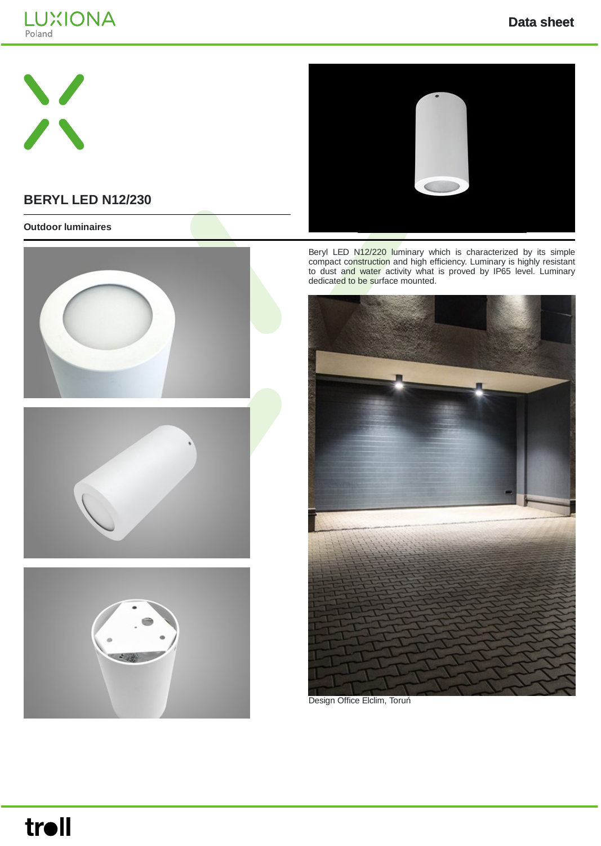





## **BERYL LED N12/230**

#### **Outdoor luminaires**







Beryl LED N12/220 luminary which is characterized by its simple compact construction and high efficiency. Luminary is highly resistant to dust and water activity what is proved by IP65 level. Luminary dedicated to be surface mounted.



Design Office Elclim, Toruń